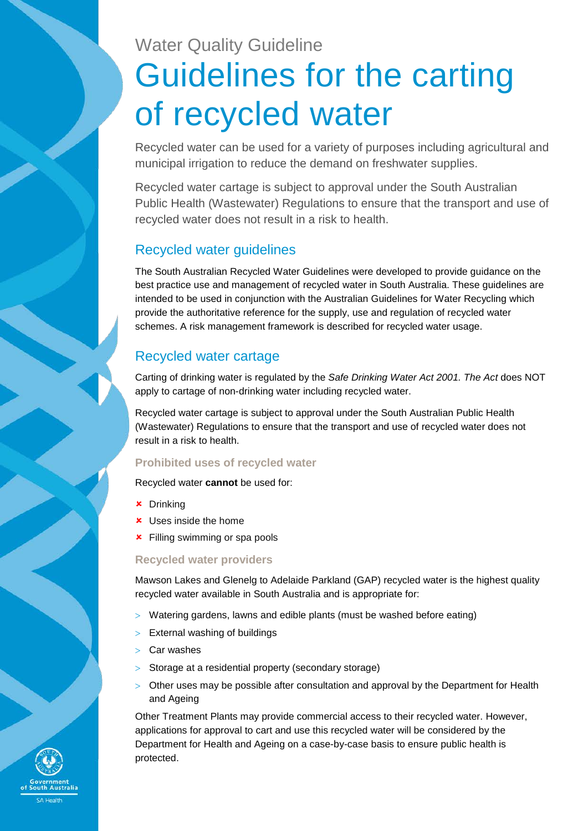# Water Quality Guideline Guidelines for the carting of recycled water

Recycled water can be used for a variety of purposes including agricultural and municipal irrigation to reduce the demand on freshwater supplies.

Recycled water cartage is subject to approval under the South Australian Public Health (Wastewater) Regulations to ensure that the transport and use of recycled water does not result in a risk to health.

## Recycled water guidelines

The South Australian Recycled Water Guidelines were developed to provide guidance on the best practice use and management of recycled water in South Australia. These guidelines are intended to be used in conjunction with the Australian Guidelines for Water Recycling which provide the authoritative reference for the supply, use and regulation of recycled water schemes. A risk management framework is described for recycled water usage.

# Recycled water cartage

Carting of drinking water is regulated by the *Safe Drinking Water Act 2001. The Act* does NOT apply to cartage of non-drinking water including recycled water.

Recycled water cartage is subject to approval under the South Australian Public Health (Wastewater) Regulations to ensure that the transport and use of recycled water does not result in a risk to health.

## **Prohibited uses of recycled water**

Recycled water **cannot** be used for:

- Drinking
- **x** Uses inside the home
- **\*** Filling swimming or spa pools

### **Recycled water providers**

Mawson Lakes and Glenelg to Adelaide Parkland (GAP) recycled water is the highest quality recycled water available in South Australia and is appropriate for:

- > Watering gardens, lawns and edible plants (must be washed before eating)
- > External washing of buildings
- > Car washes
- > Storage at a residential property (secondary storage)
- > Other uses may be possible after consultation and approval by the Department for Health and Ageing

Other Treatment Plants may provide commercial access to their recycled water. However, applications for approval to cart and use this recycled water will be considered by the Department for Health and Ageing on a case-by-case basis to ensure public health is protected.

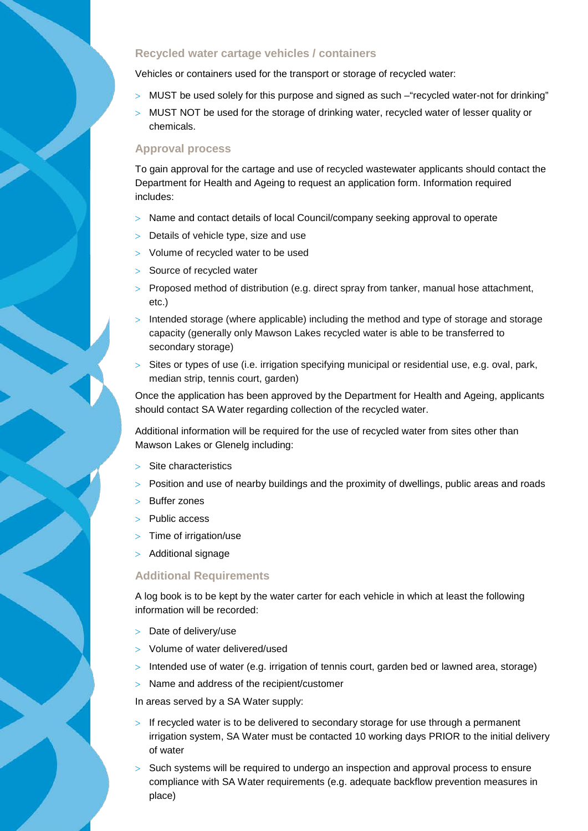#### **Recycled water cartage vehicles / containers**

Vehicles or containers used for the transport or storage of recycled water:

- > MUST be used solely for this purpose and signed as such "recycled water-not for drinking"
- > MUST NOT be used for the storage of drinking water, recycled water of lesser quality or chemicals.

#### **Approval process**

To gain approval for the cartage and use of recycled wastewater applicants should contact the Department for Health and Ageing to request an application form. Information required includes:

- > Name and contact details of local Council/company seeking approval to operate
- > Details of vehicle type, size and use
- > Volume of recycled water to be used
- > Source of recycled water
- > Proposed method of distribution (e.g. direct spray from tanker, manual hose attachment, etc.)
- > Intended storage (where applicable) including the method and type of storage and storage capacity (generally only Mawson Lakes recycled water is able to be transferred to secondary storage)
- > Sites or types of use (i.e. irrigation specifying municipal or residential use, e.g. oval, park, median strip, tennis court, garden)

Once the application has been approved by the Department for Health and Ageing, applicants should contact SA Water regarding collection of the recycled water.

Additional information will be required for the use of recycled water from sites other than Mawson Lakes or Glenelg including:

- Site characteristics
- > Position and use of nearby buildings and the proximity of dwellings, public areas and roads
- Buffer zones
- > Public access
- > Time of irrigation/use
- > Additional signage

#### **Additional Requirements**

A log book is to be kept by the water carter for each vehicle in which at least the following information will be recorded:

- > Date of delivery/use
- > Volume of water delivered/used
- > Intended use of water (e.g. irrigation of tennis court, garden bed or lawned area, storage)
- > Name and address of the recipient/customer

In areas served by a SA Water supply:

- $>$  If recycled water is to be delivered to secondary storage for use through a permanent irrigation system, SA Water must be contacted 10 working days PRIOR to the initial delivery of water
- Such systems will be required to undergo an inspection and approval process to ensure compliance with SA Water requirements (e.g. adequate backflow prevention measures in place)